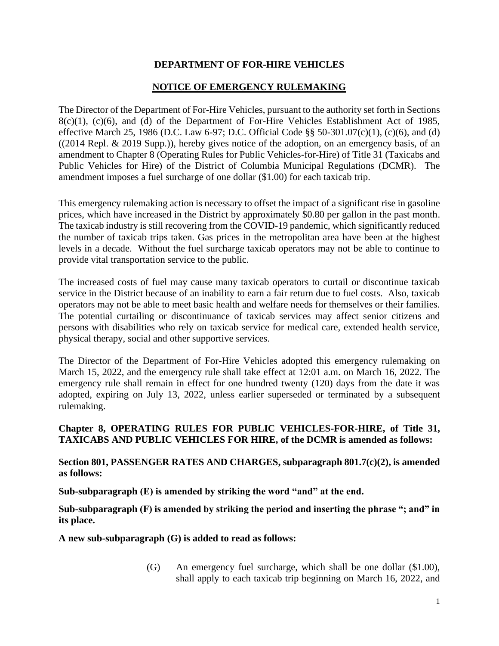## **DEPARTMENT OF FOR-HIRE VEHICLES**

## **NOTICE OF EMERGENCY RULEMAKING**

The Director of the Department of For-Hire Vehicles, pursuant to the authority set forth in Sections 8(c)(1), (c)(6), and (d) of the Department of For-Hire Vehicles Establishment Act of 1985, effective March 25, 1986 (D.C. Law 6-97; D.C. Official Code §§ 50-301.07(c)(1), (c)(6), and (d) ((2014 Repl. & 2019 Supp.)), hereby gives notice of the adoption, on an emergency basis, of an amendment to Chapter 8 (Operating Rules for Public Vehicles-for-Hire) of Title 31 (Taxicabs and Public Vehicles for Hire) of the District of Columbia Municipal Regulations (DCMR). The amendment imposes a fuel surcharge of one dollar (\$1.00) for each taxicab trip.

This emergency rulemaking action is necessary to offset the impact of a significant rise in gasoline prices, which have increased in the District by approximately \$0.80 per gallon in the past month. The taxicab industry is still recovering from the COVID-19 pandemic, which significantly reduced the number of taxicab trips taken. Gas prices in the metropolitan area have been at the highest levels in a decade. Without the fuel surcharge taxicab operators may not be able to continue to provide vital transportation service to the public.

The increased costs of fuel may cause many taxicab operators to curtail or discontinue taxicab service in the District because of an inability to earn a fair return due to fuel costs. Also, taxicab operators may not be able to meet basic health and welfare needs for themselves or their families. The potential curtailing or discontinuance of taxicab services may affect senior citizens and persons with disabilities who rely on taxicab service for medical care, extended health service, physical therapy, social and other supportive services.

The Director of the Department of For-Hire Vehicles adopted this emergency rulemaking on March 15, 2022, and the emergency rule shall take effect at 12:01 a.m. on March 16, 2022. The emergency rule shall remain in effect for one hundred twenty (120) days from the date it was adopted, expiring on July 13, 2022, unless earlier superseded or terminated by a subsequent rulemaking.

## **Chapter 8, OPERATING RULES FOR PUBLIC VEHICLES-FOR-HIRE, of Title 31, TAXICABS AND PUBLIC VEHICLES FOR HIRE, of the DCMR is amended as follows:**

**Section 801, PASSENGER RATES AND CHARGES, subparagraph 801.7(c)(2), is amended as follows:** 

**Sub-subparagraph (E) is amended by striking the word "and" at the end.**

**Sub-subparagraph (F) is amended by striking the period and inserting the phrase "; and" in its place.**

**A new sub-subparagraph (G) is added to read as follows:**

(G) An emergency fuel surcharge, which shall be one dollar (\$1.00), shall apply to each taxicab trip beginning on March 16, 2022, and